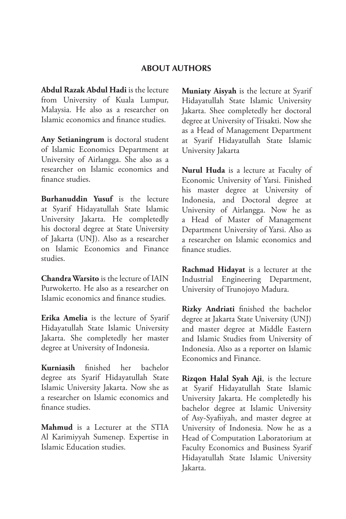#### **ABOUT AUTHORS**

**Abdul Razak Abdul Hadi** is the lecture from University of Kuala Lumpur, Malaysia. He also as a researcher on Islamic economics and finance studies.

**Any Setianingrum** is doctoral student of Islamic Economics Department at University of Airlangga. She also as a researcher on Islamic economics and finance studies.

**Burhanuddin Yusuf** is the lecture at Syarif Hidayatullah State Islamic University Jakarta. He completedly his doctoral degree at State University of Jakarta (UNJ). Also as a researcher on Islamic Economics and Finance studies.

**Chandra Warsito** is the lecture of IAIN Purwokerto. He also as a researcher on Islamic economics and finance studies.

**Erika Amelia** is the lecture of Syarif Hidayatullah State Islamic University Jakarta. She completedly her master degree at University of Indonesia.

**Kurniasih** finished her bachelor degree ats Syarif Hidayatullah State Islamic University Jakarta. Now she as a researcher on Islamic economics and finance studies.

**Mahmud** is a Lecturer at the STIA Al Karimiyyah Sumenep. Expertise in Islamic Education studies.

**Muniaty Aisyah** is the lecture at Syarif Hidayatullah State Islamic University Jakarta. Shee completedly her doctoral degree at University of Trisakti. Now she as a Head of Management Department at Syarif Hidayatullah State Islamic University Jakarta

**Nurul Huda** is a lecture at Faculty of Economic University of Yarsi. Finished his master degree at University of Indonesia, and Doctoral degree at University of Airlangga. Now he as a Head of Master of Management Department University of Yarsi. Also as a researcher on Islamic economics and finance studies.

**Rachmad Hidayat** is a lecturer at the Industrial Engineering Department, University of Trunojoyo Madura.

**Rizky Andriati** finished the bachelor degree at Jakarta State University (UNJ) and master degree at Middle Eastern and Islamic Studies from University of Indonesia. Also as a reporter on Islamic Economics and Finance.

**Rizqon Halal Syah Aji**, is the lecture at Syarif Hidayatullah State Islamic University Jakarta. He completedly his bachelor degree at Islamic University of Asy-Syafiiyah, and master degree at University of Indonesia. Now he as a Head of Computation Laboratorium at Faculty Economics and Business Syarif Hidayatullah State Islamic University Jakarta.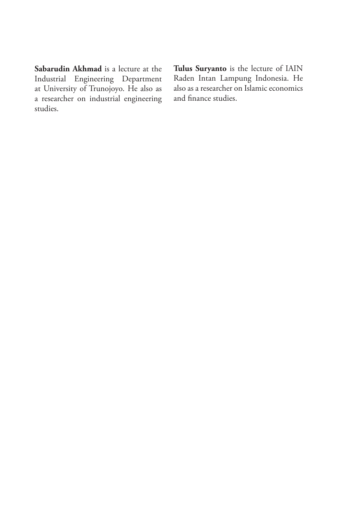**Sabarudin Akhmad** is a lecture at the Industrial Engineering Department at University of Trunojoyo. He also as a researcher on industrial engineering studies.

**Tulus Suryanto** is the lecture of IAIN Raden Intan Lampung Indonesia. He also as a researcher on Islamic economics and finance studies.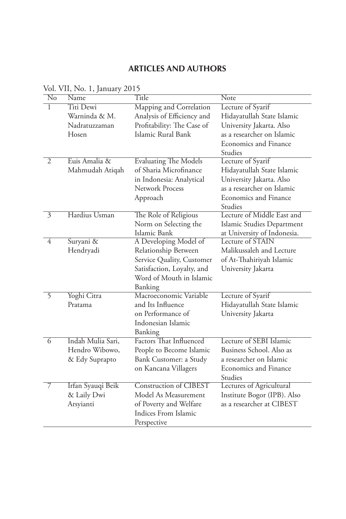## **ARTICLES AND AUTHORS**

| No                       | vol. v 11, 1 vo. 1, januar y<br>Name | Title                          | <b>Note</b>                 |
|--------------------------|--------------------------------------|--------------------------------|-----------------------------|
| 1                        | Titi Dewi                            | Mapping and Correlation        | Lecture of Syarif           |
|                          | Warninda & M.                        | Analysis of Efficiency and     | Hidayatullah State Islamic  |
|                          | Nadratuzzaman                        | Profitability: The Case of     | University Jakarta. Also    |
|                          | Hosen                                | Islamic Rural Bank             | as a researcher on Islamic  |
|                          |                                      |                                | Economics and Finance       |
|                          |                                      |                                | Studies                     |
| $\overline{2}$           | Euis Amalia &                        | <b>Evaluating The Models</b>   | Lecture of Syarif           |
|                          | Mahmudah Atiqah                      | of Sharia Microfinance         | Hidayatullah State Islamic  |
|                          |                                      | in Indonesia: Analytical       | University Jakarta. Also    |
|                          |                                      | Network Process                | as a researcher on Islamic  |
|                          |                                      | Approach                       | Economics and Finance       |
|                          |                                      |                                | Studies                     |
| $\overline{\mathcal{E}}$ | Hardius Usman                        | The Role of Religious          | Lecture of Middle East and  |
|                          |                                      | Norm on Selecting the          | Islamic Studies Department  |
|                          |                                      | Islamic Bank                   | at University of Indonesia. |
| $\overline{4}$           | Suryani &                            | A Developing Model of          | Lecture of STAIN            |
|                          | Hendryadi                            | Relationship Between           | Malikussaleh and Lecture    |
|                          |                                      | Service Quality, Customer      | of At-Thahiriyah Islamic    |
|                          |                                      | Satisfaction, Loyalty, and     | University Jakarta          |
|                          |                                      | Word of Mouth in Islamic       |                             |
|                          |                                      | Banking                        |                             |
| $\overline{5}$           | Yoghi Citra                          | Macroeconomic Variable         | Lecture of Syarif           |
|                          | Pratama                              | and Its Influence              | Hidayatullah State Islamic  |
|                          |                                      | on Performance of              | University Jakarta          |
|                          |                                      | Indonesian Islamic             |                             |
|                          |                                      | Banking                        |                             |
| $\overline{6}$           | Indah Mulia Sari,                    | <b>Factors</b> That Influenced | Lecture of SEBI Islamic     |
|                          | Hendro Wibowo,                       | People to Become Islamic       | Business School. Also as    |
|                          | & Edy Suprapto                       | Bank Customer: a Study         | a researcher on Islamic     |
|                          |                                      | on Kancana Villagers           | Economics and Finance       |
|                          |                                      |                                | Studies                     |
| 7                        | Irfan Syauqi Beik                    | <b>Construction of CIBEST</b>  | Lectures of Agricultural    |
|                          | & Laily Dwi                          | Model As Measurement           | Institute Bogor (IPB). Also |
|                          | Arsyianti                            | of Poverty and Welfare         | as a researcher at CIBEST   |
|                          |                                      | Indices From Islamic           |                             |
|                          |                                      | Perspective                    |                             |

Vol. VII, No. 1, January 2015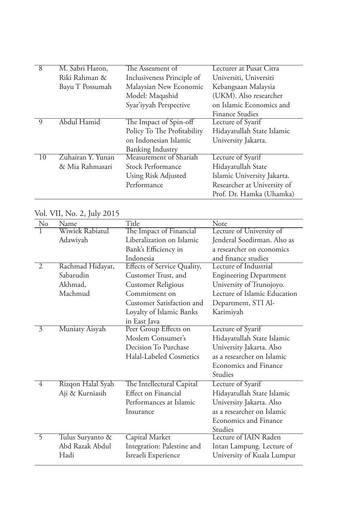| 8        | M. Sabri Haron,   | The Assesment of            | Lecturer at Pusat Citra     |
|----------|-------------------|-----------------------------|-----------------------------|
|          | Riki Rahman &     | Inclusiveness Principle of  | Universiti, Universiti      |
|          | Bayu T Possumah   | Malaysian New Economic      | Kebangsaan Malaysia         |
|          |                   | Model: Maqashid             | (UKM). Also researcher      |
|          |                   | Syar'iyyah Perspective      | on Islamic Economics and    |
|          |                   |                             | <b>Finance Studies</b>      |
| $\Omega$ | Abdul Hamid       | The Impact of Spin-off      | Lecture of Syarif           |
|          |                   | Policy To The Profitability | Hidayatullah State Islamic  |
|          |                   | on Indonesian Islamic       | University Jakarta.         |
|          |                   | <b>Banking Industry</b>     |                             |
| 10       | Zuhairan Y. Yunan | Measurement of Shariah      | Lecture of Syarif           |
|          | & Mia Rahmasari   | Stock Performance           | Hidayatullah State          |
|          |                   | Using Risk Adjusted         | Islamic University Jakarta. |
|          |                   | Performance                 | Researcher at University of |
|          |                   |                             | Prof. Dr. Hamka (Uhamka)    |

## Vol. VII, No. 2, July 2015

| No             | Name              | Title                              | Note                          |
|----------------|-------------------|------------------------------------|-------------------------------|
|                | Wiwiek Rabiatul   | The Impact of Financial            | Lecture of University of      |
|                | Adawiyah          | Liberalization on Islamic          | Jenderal Soedirman. Also as   |
|                |                   | Bank's Efficiency in               | a researcher on economics     |
|                |                   | Indonesia                          | and finance studies           |
| $\overline{2}$ | Rachmad Hidayat,  | <b>Effects of Service Quality,</b> | Lecture of Industrial         |
|                | Sabarudin         | Customer Trust, and                | <b>Engineering Department</b> |
|                | Akhmad,           | <b>Customer Religious</b>          | University of Trunojoyo.      |
|                | Machmud           | Commitment on                      | Lecture of Islamic Education  |
|                |                   | Customer Satisfaction and          | Department, STI Al-           |
|                |                   | Loyalty of Islamic Banks           | Karimiyah                     |
|                |                   | in East Java                       |                               |
| $\overline{3}$ | Muniaty Aisyah    | Peer Group Effects on              | Lecture of Syarif             |
|                |                   | Moslem Consumer's                  | Hidayatullah State Islamic    |
|                |                   | Decision To Purchase               | University Jakarta. Also      |
|                |                   | Halal-Labeled Cosmetics            | as a researcher on Islamic    |
|                |                   |                                    | <b>Economics and Finance</b>  |
|                |                   |                                    | Studies                       |
| 4              | Rizqon Halal Syah | The Intellectural Capital          | Lecture of Syarif             |
|                | Aji & Kurniasih   | Effect on Financial                | Hidayatullah State Islamic    |
|                |                   | Performances at Islamic            | University Jakarta. Also      |
|                |                   | Insurance                          | as a researcher on Islamic    |
|                |                   |                                    | <b>Economics and Finance</b>  |
|                |                   |                                    | Studies                       |
| 5              | Tulus Suryanto &  | Capital Market                     | Lecture of IAIN Raden         |
|                | Abd Razak Abdul   | Integration: Palestine and         | Intan Lampung. Lecture of     |
|                | Hadi              | Isreaeli Experience                | University of Kuala Lumpur    |
|                |                   |                                    |                               |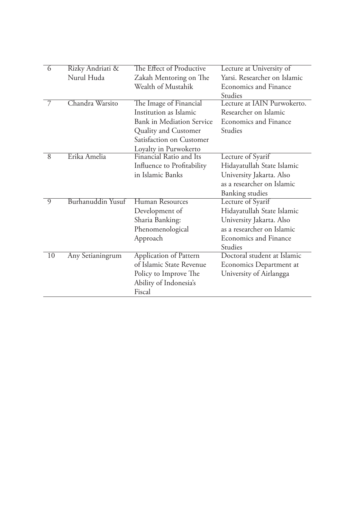| 6              | Rizky Andriati &  | The Effect of Productive   | Lecture at University of     |
|----------------|-------------------|----------------------------|------------------------------|
|                | Nurul Huda        | Zakah Mentoring on The     | Yarsi. Researcher on Islamic |
|                |                   | Wealth of Mustahik         | Economics and Finance        |
|                |                   |                            | Studies                      |
| 7              | Chandra Warsito   | The Image of Financial     | Lecture at IAIN Purwokerto.  |
|                |                   | Institution as Islamic     | Researcher on Islamic        |
|                |                   | Bank in Mediation Service  | Economics and Finance        |
|                |                   | Quality and Customer       | Studies                      |
|                |                   | Satisfaction on Customer   |                              |
|                |                   | Loyalty in Purwokerto      |                              |
| $\overline{8}$ | Erika Amelia      | Financial Ratio and Its    | Lecture of Syarif            |
|                |                   | Influence to Profitability | Hidayatullah State Islamic   |
|                |                   | in Islamic Banks           | University Jakarta. Also     |
|                |                   |                            | as a researcher on Islamic   |
|                |                   |                            | Banking studies              |
| $\Omega$       | Burhanuddin Yusuf | Human Resources            | Lecture of Syarif            |
|                |                   | Development of             | Hidayatullah State Islamic   |
|                |                   | Sharia Banking:            | University Jakarta. Also     |
|                |                   | Phenomenological           | as a researcher on Islamic   |
|                |                   | Approach                   | <b>Economics and Finance</b> |
|                |                   |                            | Studies                      |
| 10             | Any Setianingrum  | Application of Pattern     | Doctoral student at Islamic  |
|                |                   | of Islamic State Revenue   | Economics Department at      |
|                |                   | Policy to Improve The      | University of Airlangga      |
|                |                   | Ability of Indonesia's     |                              |
|                |                   | Fiscal                     |                              |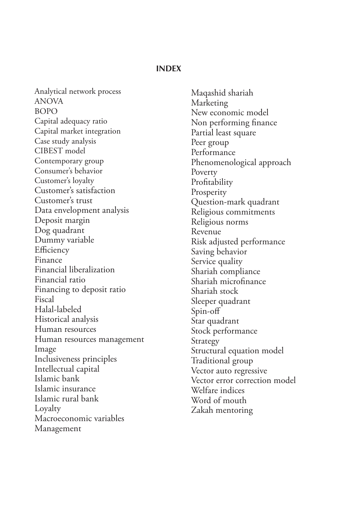#### **INDEX**

Analytical network process ANOVA BOPO Capital adequacy ratio Capital market integration Case study analysis CIBEST model Contemporary group Consumer's behavior Customer's loyalty Customer's satisfaction Customer's trust Data envelopment analysis Deposit margin Dog quadrant Dummy variable **Efficiency** Finance Financial liberalization Financial ratio Financing to deposit ratio Fiscal Halal-labeled Historical analysis Human resources Human resources management Image Inclusiveness principles Intellectual capital Islamic bank Islamic insurance Islamic rural bank Loyalty Macroeconomic variables Management

Maqashid shariah Marketing New economic model Non performing finance Partial least square Peer group Performance Phenomenological approach Poverty Profitability **Prosperity** Question-mark quadrant Religious commitments Religious norms Revenue Risk adjusted performance Saving behavior Service quality Shariah compliance Shariah microfinance Shariah stock Sleeper quadrant Spin-off Star quadrant Stock performance Strategy Structural equation model Traditional group Vector auto regressive Vector error correction model Welfare indices Word of mouth Zakah mentoring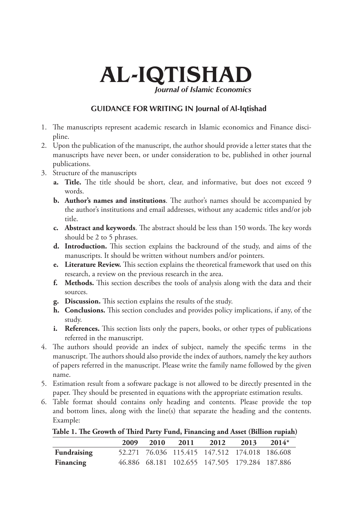# AL-IQTISHAD *Journal of Islamic Economics*

### **VGUIDANCE FOR WRITING IN Journal of Al-Iqtishad**

- 1. The manuscripts represent academic research in Islamic economics and Finance discipline.
- 2. Upon the publication of the manuscript, the author should provide a letter states that the manuscripts have never been, or under consideration to be, published in other journal publications.
- 3. Structure of the manuscripts
	- **a. Title.** The title should be short, clear, and informative, but does not exceed 9 words.
	- **b. Author's names and institutions**. The author's names should be accompanied by the author's institutions and email addresses, without any academic titles and/or job title.
	- **c. Abstract and keywords**. The abstract should be less than 150 words. The key words should be 2 to 5 phrases.
	- **d. Introduction.** This section explains the backround of the study, and aims of the manuscripts. It should be written without numbers and/or pointers.
	- **e. Literature Review.** This section explains the theoretical framework that used on this research, a review on the previous research in the area.
	- **f. Methods.** This section describes the tools of analysis along with the data and their sources.
	- **g. Discussion.** This section explains the results of the study.
	- **h. Conclusions.** This section concludes and provides policy implications, if any, of the study.
	- **i. References.** This section lists only the papers, books, or other types of publications referred in the manuscript.
- 4. The authors should provide an index of subject, namely the specific terms in the manuscript. The authors should also provide the index of authors, namely the key authors of papers referred in the manuscript. Please write the family name followed by the given name.
- 5. Estimation result from a software package is not allowed to be directly presented in the paper. They should be presented in equations with the appropriate estimation results.
- 6. Table format should contains only heading and contents. Please provide the top and bottom lines, along with the line(s) that separate the heading and the contents. Example:

**Table 1. The Growth of Third Party Fund, Financing and Asset (Billion rupiah)**

|             | 2009 | 2010 | 2011 | 2012                                          | 2013 | $2014*$ |
|-------------|------|------|------|-----------------------------------------------|------|---------|
| Fundraising |      |      |      | 52.271 76.036 115.415 147.512 174.018 186.608 |      |         |
| Financing   |      |      |      | 46.886 68.181 102.655 147.505 179.284 187.886 |      |         |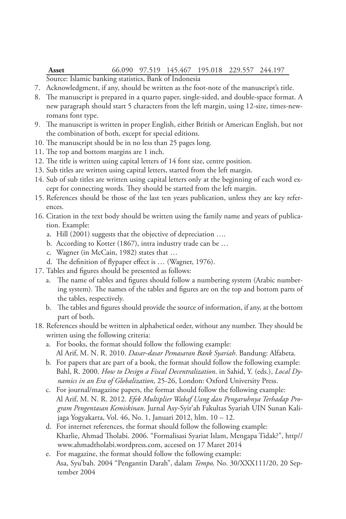#### **Asset** 66.090 97.519 145.467 195.018 229.557 244.197 Source: Islamic banking statistics, Bank of Indonesia

- 7. Acknowledgment, if any, should be written as the foot-note of the manuscript's title.
- 8. The manuscript is prepared in a quarto paper, single-sided, and double-space format. A new paragraph should start 5 characters from the left margin, using 12-size, times-newromans font type.
- 9. The manuscript is written in proper English, either British or American English, but not the combination of both, except for special editions.
- 10. The manuscript should be in no less than 25 pages long.
- 11. The top and bottom margins are 1 inch.
- 12. The title is written using capital letters of 14 font size, centre position.
- 13. Sub titles are written using capital letters, started from the left margin.
- 14. Sub of sub titles are written using capital letters only at the beginning of each word except for connecting words. They should be started from the left margin.
- 15. References should be those of the last ten years publication, unless they are key references.
- 16. Citation in the text body should be written using the family name and years of publication. Example:
	- a. Hill (2001) suggests that the objective of depreciation ….
	- b. According to Kotter (1867), intra industry trade can be …
	- c. Wagner (in McCain, 1982) states that …
	- d. The definition of flypaper effect is … (Wagner, 1976).
- 17. Tables and figures should be presented as follows:
	- a. The name of tables and figures should follow a numbering system (Arabic numbering system). The names of the tables and figures are on the top and bottom parts of the tables, respectively.
	- b. The tables and figures should provide the source of information, if any, at the bottom part of both.
- 18. References should be written in alphabetical order, without any number. They should be written using the following criteria:
	- a. For books, the format should follow the following example: Al Arif, M. N. R. 2010. *Dasar-dasar Pemasaran Bank Syariah*. Bandung: Alfabeta.
	- b. For papers that are part of a book, the format should follow the following example: Bahl, R. 2000. *How to Design a Fiscal Decentralization*. in Sahid, Y. (eds.), *Local Dynamics in an Era of Globalization*, 25-26, London: Oxford University Press.
	- c. For journal/magazine papers, the format should follow the following example: Al Arif, M. N. R. 2012. *Efek Multiplier Wakaf Uang dan Pengaruhnya Terhadap Program Pengentasan Kemiskinan*. Jurnal Asy-Syir'ah Fakultas Syariah UIN Sunan Kalijaga Yogyakarta, Vol. 46, No. 1, Januari 2012, hlm. 10 – 12.
	- d. For internet references, the format should follow the following example: Kharlie, Ahmad Tholabi. 2006. "Formalisasi Syariat Islam, Mengapa Tidak?", http// www.ahmadtholabi.wordpress.com, accesed on 17 Maret 2014
	- e. For magazine, the format should follow the following example: Asa, Syu'bah. 2004 "Pengantin Darah", dalam *Tempo,* No. 30/XXX111/20, 20 September 2004